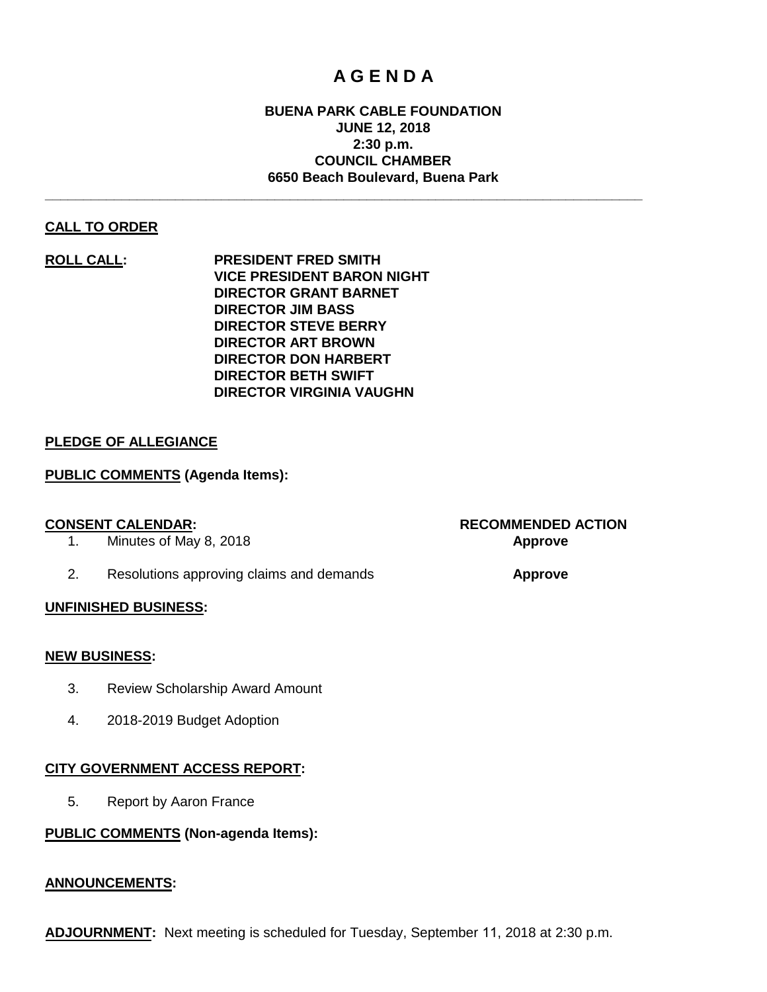# **A G E N D A**

#### **BUENA PARK CABLE FOUNDATION JUNE 12, 2018 2:30 p.m. COUNCIL CHAMBER 6650 Beach Boulevard, Buena Park**

**\_\_\_\_\_\_\_\_\_\_\_\_\_\_\_\_\_\_\_\_\_\_\_\_\_\_\_\_\_\_\_\_\_\_\_\_\_\_\_\_\_\_\_\_\_\_\_\_\_\_\_\_\_\_\_\_\_\_\_\_\_\_\_\_\_\_\_\_\_\_\_\_\_\_\_\_\_\_**

#### **CALL TO ORDER**

**ROLL CALL: PRESIDENT FRED SMITH VICE PRESIDENT BARON NIGHT DIRECTOR GRANT BARNET DIRECTOR JIM BASS DIRECTOR STEVE BERRY DIRECTOR ART BROWN DIRECTOR DON HARBERT DIRECTOR BETH SWIFT DIRECTOR VIRGINIA VAUGHN**

#### **PLEDGE OF ALLEGIANCE**

#### **PUBLIC COMMENTS (Agenda Items):**

- 1. Minutes of May 8, 2018 **Approve**
- 2. Resolutions approving claims and demands **Approve**

#### **UNFINISHED BUSINESS:**

#### **NEW BUSINESS:**

- 3. Review Scholarship Award Amount
- 4. 2018-2019 Budget Adoption

#### **CITY GOVERNMENT ACCESS REPORT:**

5. Report by Aaron France

#### **PUBLIC COMMENTS (Non-agenda Items):**

#### **ANNOUNCEMENTS:**

**ADJOURNMENT:** Next meeting is scheduled for Tuesday, September 11, 2018 at 2:30 p.m.

**CONSENT CALENDAR: RECOMMENDED ACTION**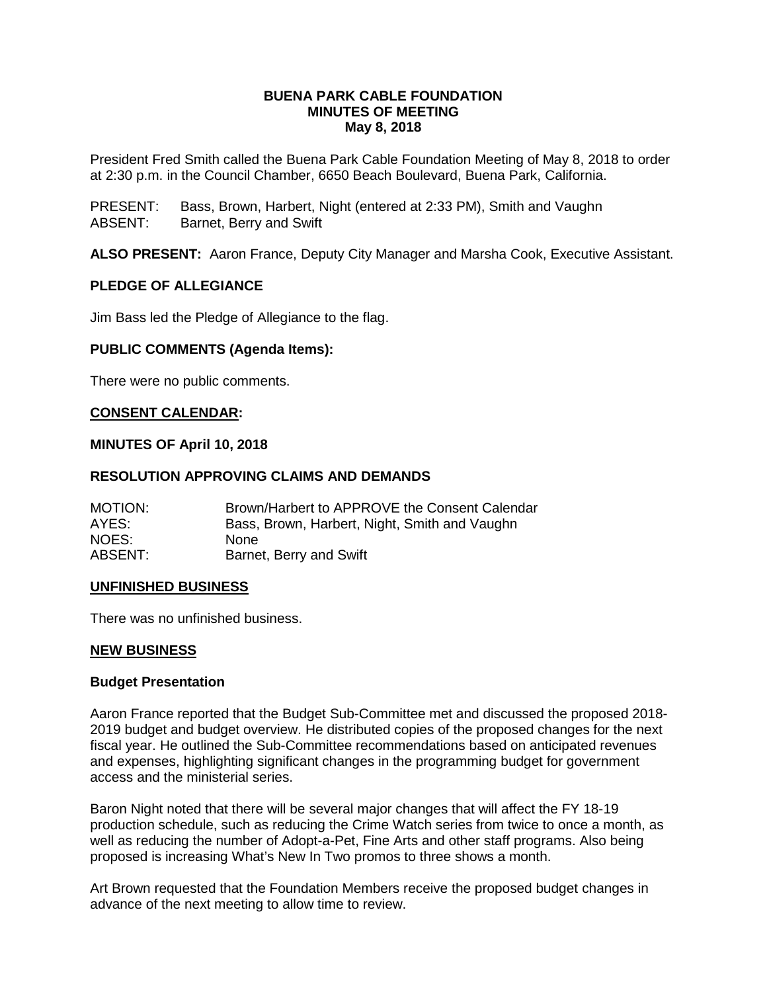#### **BUENA PARK CABLE FOUNDATION MINUTES OF MEETING May 8, 2018**

President Fred Smith called the Buena Park Cable Foundation Meeting of May 8, 2018 to order at 2:30 p.m. in the Council Chamber, 6650 Beach Boulevard, Buena Park, California.

PRESENT: Bass, Brown, Harbert, Night (entered at 2:33 PM), Smith and Vaughn ABSENT: Barnet, Berry and Swift

**ALSO PRESENT:** Aaron France, Deputy City Manager and Marsha Cook, Executive Assistant.

#### **PLEDGE OF ALLEGIANCE**

Jim Bass led the Pledge of Allegiance to the flag.

#### **PUBLIC COMMENTS (Agenda Items):**

There were no public comments.

#### **CONSENT CALENDAR:**

#### **MINUTES OF April 10, 2018**

#### **RESOLUTION APPROVING CLAIMS AND DEMANDS**

| MOTION: | Brown/Harbert to APPROVE the Consent Calendar |
|---------|-----------------------------------------------|
| AYES:   | Bass, Brown, Harbert, Night, Smith and Vaughn |
| NOES:   | None.                                         |
| ABSENT: | Barnet, Berry and Swift                       |

#### **UNFINISHED BUSINESS**

There was no unfinished business.

#### **NEW BUSINESS**

#### **Budget Presentation**

Aaron France reported that the Budget Sub-Committee met and discussed the proposed 2018- 2019 budget and budget overview. He distributed copies of the proposed changes for the next fiscal year. He outlined the Sub-Committee recommendations based on anticipated revenues and expenses, highlighting significant changes in the programming budget for government access and the ministerial series.

Baron Night noted that there will be several major changes that will affect the FY 18-19 production schedule, such as reducing the Crime Watch series from twice to once a month, as well as reducing the number of Adopt-a-Pet, Fine Arts and other staff programs. Also being proposed is increasing What's New In Two promos to three shows a month.

Art Brown requested that the Foundation Members receive the proposed budget changes in advance of the next meeting to allow time to review.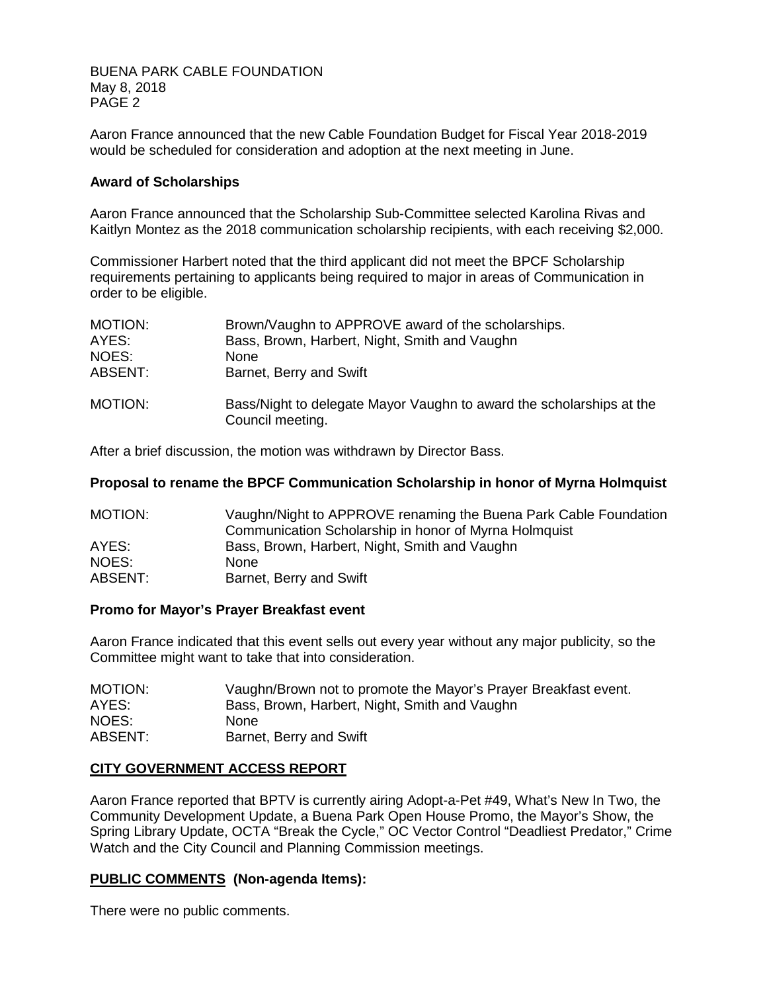BUENA PARK CABLE FOUNDATION May 8, 2018 PAGE 2

Aaron France announced that the new Cable Foundation Budget for Fiscal Year 2018-2019 would be scheduled for consideration and adoption at the next meeting in June.

#### **Award of Scholarships**

Aaron France announced that the Scholarship Sub-Committee selected Karolina Rivas and Kaitlyn Montez as the 2018 communication scholarship recipients, with each receiving \$2,000.

Commissioner Harbert noted that the third applicant did not meet the BPCF Scholarship requirements pertaining to applicants being required to major in areas of Communication in order to be eligible.

| MOTION: | Brown/Vaughn to APPROVE award of the scholarships.                                       |
|---------|------------------------------------------------------------------------------------------|
| AYES:   | Bass, Brown, Harbert, Night, Smith and Vaughn                                            |
| NOES:   | <b>None</b>                                                                              |
| ABSENT: | Barnet, Berry and Swift                                                                  |
| MOTION: | Bass/Night to delegate Mayor Vaughn to award the scholarships at the<br>Council meeting. |

After a brief discussion, the motion was withdrawn by Director Bass.

#### **Proposal to rename the BPCF Communication Scholarship in honor of Myrna Holmquist**

| MOTION: | Vaughn/Night to APPROVE renaming the Buena Park Cable Foundation |
|---------|------------------------------------------------------------------|
|         | Communication Scholarship in honor of Myrna Holmquist            |
| AYES:   | Bass, Brown, Harbert, Night, Smith and Vaughn                    |
| NOES:   | <b>None</b>                                                      |
| ABSENT: | Barnet, Berry and Swift                                          |

#### **Promo for Mayor's Prayer Breakfast event**

Aaron France indicated that this event sells out every year without any major publicity, so the Committee might want to take that into consideration.

| MOTION: | Vaughn/Brown not to promote the Mayor's Prayer Breakfast event. |
|---------|-----------------------------------------------------------------|
| AYES:   | Bass, Brown, Harbert, Night, Smith and Vaughn                   |
| NOES:   | <b>None</b>                                                     |
| ABSENT: | Barnet, Berry and Swift                                         |

#### **CITY GOVERNMENT ACCESS REPORT**

Aaron France reported that BPTV is currently airing Adopt-a-Pet #49, What's New In Two, the Community Development Update, a Buena Park Open House Promo, the Mayor's Show, the Spring Library Update, OCTA "Break the Cycle," OC Vector Control "Deadliest Predator," Crime Watch and the City Council and Planning Commission meetings.

#### **PUBLIC COMMENTS (Non-agenda Items):**

There were no public comments.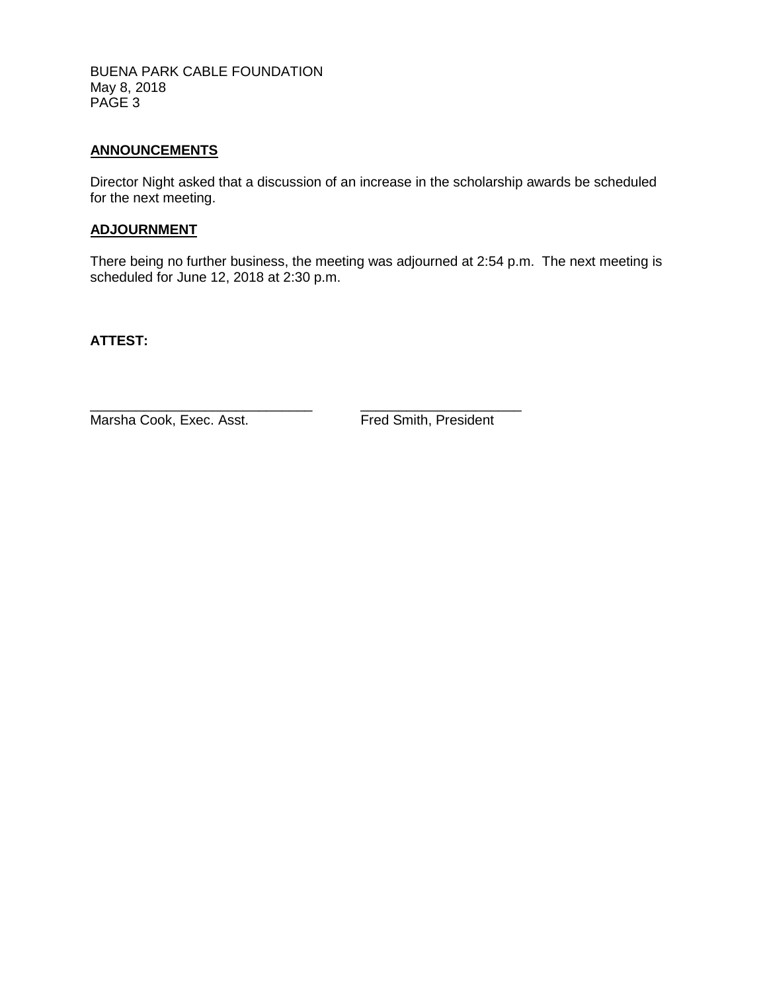BUENA PARK CABLE FOUNDATION May 8, 2018 PAGE 3

#### **ANNOUNCEMENTS**

Director Night asked that a discussion of an increase in the scholarship awards be scheduled for the next meeting.

### **ADJOURNMENT**

There being no further business, the meeting was adjourned at 2:54 p.m. The next meeting is scheduled for June 12, 2018 at 2:30 p.m.

**ATTEST:**

Marsha Cook, Exec. Asst. Fred Smith, President

\_\_\_\_\_\_\_\_\_\_\_\_\_\_\_\_\_\_\_\_\_\_\_\_\_\_\_\_\_ \_\_\_\_\_\_\_\_\_\_\_\_\_\_\_\_\_\_\_\_\_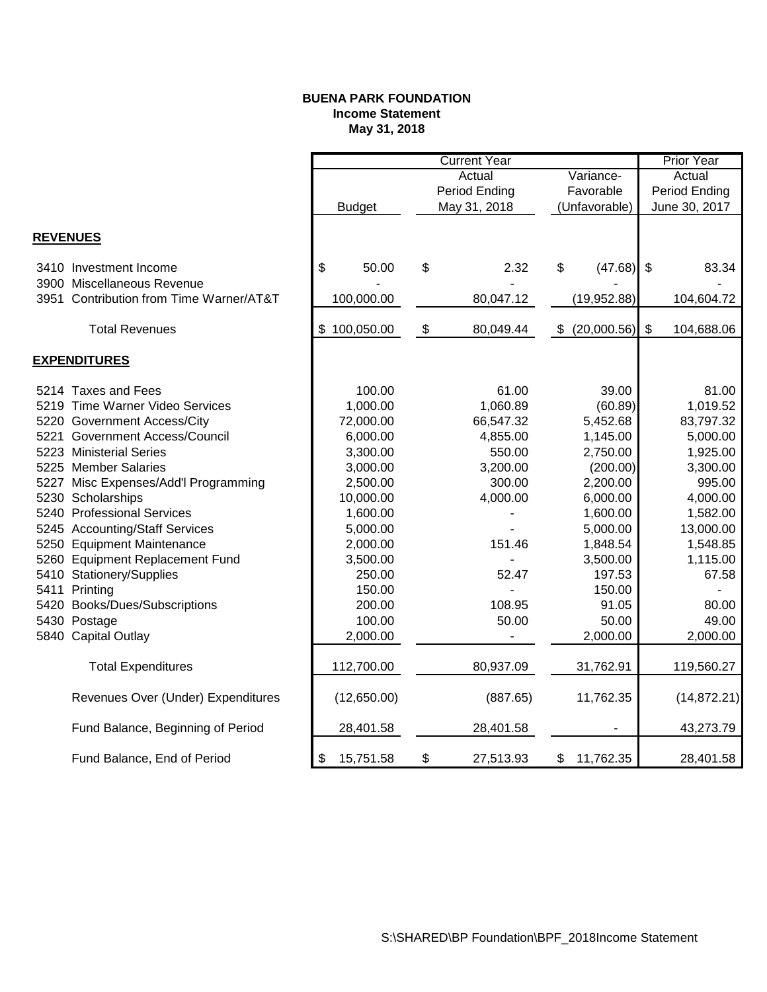#### **BUENA PARK FOUNDATION Income Statement May 31, 2018**

|                 |                                         | <b>Current Year</b> |               |               |              |               | <b>Prior Year</b>            |                           |              |
|-----------------|-----------------------------------------|---------------------|---------------|---------------|--------------|---------------|------------------------------|---------------------------|--------------|
|                 |                                         | Actual<br>Variance- |               |               | Actual       |               |                              |                           |              |
|                 |                                         |                     |               | Period Ending |              | Favorable     |                              | Period Ending             |              |
|                 |                                         |                     | <b>Budget</b> |               | May 31, 2018 | (Unfavorable) |                              | June 30, 2017             |              |
|                 |                                         |                     |               |               |              |               |                              |                           |              |
| <b>REVENUES</b> |                                         |                     |               |               |              |               |                              |                           |              |
|                 | 3410 Investment Income                  | \$                  | 50.00         | \$            | 2.32         | \$            | (47.68)                      | $\boldsymbol{\mathsf{S}}$ | 83.34        |
|                 | 3900 Miscellaneous Revenue              |                     |               |               |              |               |                              |                           |              |
|                 | 3951 Contribution from Time Warner/AT&T |                     | 100,000.00    |               | 80,047.12    |               | (19,952.88)                  |                           | 104,604.72   |
|                 | <b>Total Revenues</b>                   |                     | \$100,050.00  | \$            | 80,049.44    | \$            | (20,000.56)                  | \$                        | 104,688.06   |
|                 |                                         |                     |               |               |              |               |                              |                           |              |
|                 | <b>EXPENDITURES</b>                     |                     |               |               |              |               |                              |                           |              |
|                 | 5214 Taxes and Fees                     |                     | 100.00        |               | 61.00        |               | 39.00                        |                           | 81.00        |
|                 | 5219 Time Warner Video Services         |                     | 1,000.00      |               | 1,060.89     |               | (60.89)                      |                           | 1,019.52     |
|                 | 5220 Government Access/City             |                     | 72,000.00     |               | 66,547.32    |               | 5,452.68                     |                           | 83,797.32    |
|                 | 5221 Government Access/Council          |                     | 6,000.00      |               | 4,855.00     |               | 1,145.00                     |                           | 5,000.00     |
|                 | 5223 Ministerial Series                 |                     | 3,300.00      |               | 550.00       |               | 2,750.00                     |                           | 1,925.00     |
|                 | 5225 Member Salaries                    |                     | 3,000.00      |               | 3,200.00     |               | (200.00)                     |                           | 3,300.00     |
|                 | 5227 Misc Expenses/Add'l Programming    |                     | 2,500.00      |               | 300.00       |               | 2,200.00                     |                           | 995.00       |
|                 | 5230 Scholarships                       |                     | 10,000.00     |               | 4,000.00     |               | 6,000.00                     |                           | 4,000.00     |
|                 | 5240 Professional Services              |                     | 1,600.00      |               |              |               | 1,600.00                     |                           | 1,582.00     |
|                 | 5245 Accounting/Staff Services          |                     | 5,000.00      |               |              |               | 5,000.00                     |                           | 13,000.00    |
|                 | 5250 Equipment Maintenance              |                     | 2,000.00      |               | 151.46       |               | 1,848.54                     |                           | 1,548.85     |
|                 | 5260 Equipment Replacement Fund         |                     | 3,500.00      |               |              |               | 3,500.00                     |                           | 1,115.00     |
|                 | 5410 Stationery/Supplies                |                     | 250.00        |               | 52.47        |               | 197.53                       |                           | 67.58        |
|                 | 5411 Printing                           |                     | 150.00        |               |              |               | 150.00                       |                           |              |
|                 | 5420 Books/Dues/Subscriptions           |                     | 200.00        |               | 108.95       |               | 91.05                        |                           | 80.00        |
|                 | 5430 Postage                            |                     | 100.00        |               | 50.00        |               | 50.00                        |                           | 49.00        |
|                 | 5840 Capital Outlay                     |                     | 2,000.00      |               |              |               | 2,000.00                     |                           | 2,000.00     |
|                 | <b>Total Expenditures</b>               |                     | 112,700.00    |               | 80,937.09    |               | 31,762.91                    |                           | 119,560.27   |
|                 | Revenues Over (Under) Expenditures      |                     | (12,650.00)   |               | (887.65)     |               | 11,762.35                    |                           | (14, 872.21) |
|                 | Fund Balance, Beginning of Period       |                     | 28,401.58     |               | 28,401.58    |               | $\qquad \qquad \blacksquare$ |                           | 43,273.79    |
|                 | Fund Balance, End of Period             | \$                  | 15,751.58     | \$            | 27,513.93    | \$            | 11,762.35                    |                           | 28,401.58    |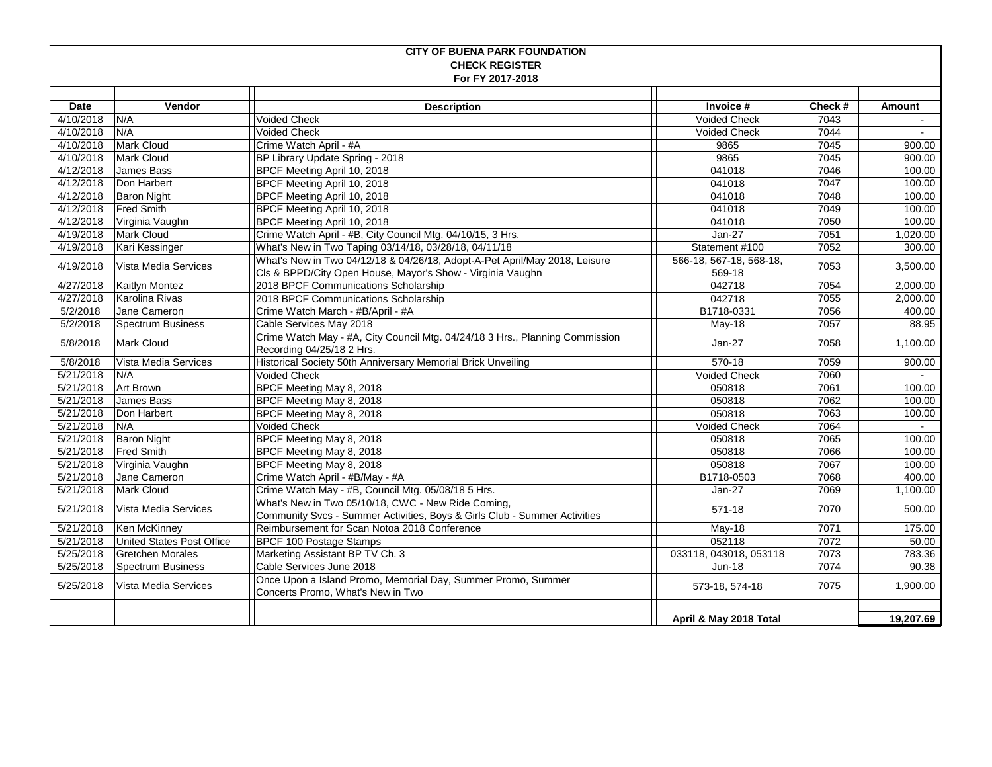|             |                             | <b>CITY OF BUENA PARK FOUNDATION</b>                                                                                            |                          |        |               |
|-------------|-----------------------------|---------------------------------------------------------------------------------------------------------------------------------|--------------------------|--------|---------------|
|             |                             | <b>CHECK REGISTER</b>                                                                                                           |                          |        |               |
|             |                             | For FY 2017-2018                                                                                                                |                          |        |               |
| <b>Date</b> | Vendor                      | <b>Description</b>                                                                                                              | Invoice #                | Check# | <b>Amount</b> |
| 4/10/2018   | N/A                         | Voided Check                                                                                                                    | Voided Check             | 7043   | $\sim$        |
| 4/10/2018   | N/A                         | <b>Voided Check</b>                                                                                                             | <b>Voided Check</b>      | 7044   |               |
| 4/10/2018   | Mark Cloud                  | Crime Watch April - #A                                                                                                          | 9865                     | 7045   | 900.00        |
| 4/10/2018   | Mark Cloud                  | BP Library Update Spring - 2018                                                                                                 | 9865                     | 7045   | 900.00        |
|             |                             |                                                                                                                                 |                          |        |               |
| 4/12/2018   | James Bass                  | BPCF Meeting April 10, 2018                                                                                                     | 041018                   | 7046   | 100.00        |
| 4/12/2018   | Don Harbert                 | BPCF Meeting April 10, 2018                                                                                                     | 041018                   | 7047   | 100.00        |
| 4/12/2018   | <b>Baron Night</b>          | BPCF Meeting April 10, 2018                                                                                                     | 041018                   | 7048   | 100.00        |
| 4/12/2018   | <b>Fred Smith</b>           | BPCF Meeting April 10, 2018                                                                                                     | 041018                   | 7049   | 100.00        |
|             | 4/12/2018   Virginia Vaughn | BPCF Meeting April 10, 2018                                                                                                     | 041018                   | 7050   | 100.00        |
| 4/19/2018   | <b>Mark Cloud</b>           | Crime Watch April - #B, City Council Mtg. 04/10/15, 3 Hrs.                                                                      | Jan-27                   | 7051   | 1,020.00      |
| 4/19/2018   | Kari Kessinger              | What's New in Two Taping 03/14/18, 03/28/18, 04/11/18                                                                           | Statement #100           | 7052   | 300.00        |
| 4/19/2018   | Vista Media Services        | What's New in Two 04/12/18 & 04/26/18, Adopt-A-Pet April/May 2018, Leisure                                                      | 566-18, 567-18, 568-18,  | 7053   | 3,500.00      |
|             |                             | Cls & BPPD/City Open House, Mayor's Show - Virginia Vaughn                                                                      | 569-18                   |        |               |
| 4/27/2018   | Kaitlyn Montez              | 2018 BPCF Communications Scholarship                                                                                            | 042718                   | 7054   | 2,000.00      |
| 4/27/2018   | Karolina Rivas              | 2018 BPCF Communications Scholarship                                                                                            | 042718                   | 7055   | 2,000.00      |
| 5/2/2018    | Jane Cameron                | Crime Watch March - #B/April - #A                                                                                               | B1718-0331               | 7056   | 400.00        |
| 5/2/2018    | Spectrum Business           | Cable Services May 2018                                                                                                         | May-18                   | 7057   | 88.95         |
| 5/8/2018    | <b>Mark Cloud</b>           | Crime Watch May - #A, City Council Mtg. 04/24/18 3 Hrs., Planning Commission<br>Recording 04/25/18 2 Hrs.                       | $Jan-27$                 | 7058   | 1,100.00      |
| 5/8/2018    | Vista Media Services        | Historical Society 50th Anniversary Memorial Brick Unveiling                                                                    | 570-18                   | 7059   | 900.00        |
| 5/21/2018   | N/A                         | Voided Check                                                                                                                    | <b>Voided Check</b>      | 7060   | $\sim$        |
| 5/21/2018   | <b>Art Brown</b>            | BPCF Meeting May 8, 2018                                                                                                        | 050818                   | 7061   | 100.00        |
| 5/21/2018   | James Bass                  | BPCF Meeting May 8, 2018                                                                                                        | 050818                   | 7062   | 100.00        |
| 5/21/2018   | Don Harbert                 | BPCF Meeting May 8, 2018                                                                                                        | 050818                   | 7063   | 100.00        |
| 5/21/2018   | N/A                         | Voided Check                                                                                                                    | <b>Voided Check</b>      | 7064   | $\sim$        |
| 5/21/2018   | <b>Baron Night</b>          | BPCF Meeting May 8, 2018                                                                                                        | 050818                   | 7065   | 100.00        |
|             | 5/21/2018   Fred Smith      | BPCF Meeting May 8, 2018                                                                                                        | 050818                   | 7066   | 100.00        |
|             | 5/21/2018   Virginia Vaughn | BPCF Meeting May 8, 2018                                                                                                        | 050818                   | 7067   | 100.00        |
| 5/21/2018   | Jane Cameron                | Crime Watch April - #B/May - #A                                                                                                 | B1718-0503               | 7068   | 400.00        |
| 5/21/2018   | <b>Mark Cloud</b>           | Crime Watch May - #B, Council Mtg. 05/08/18 5 Hrs.                                                                              | $Jan-27$                 | 7069   | 1,100.00      |
| 5/21/2018   | Vista Media Services        | What's New in Two 05/10/18, CWC - New Ride Coming,<br>Community Svcs - Summer Activities, Boys & Girls Club - Summer Activities | 571-18                   | 7070   | 500.00        |
| 5/21/2018   | Ken McKinney                | Reimbursement for Scan Notoa 2018 Conference                                                                                    | May-18                   | 7071   | 175.00        |
| 5/21/2018   | United States Post Office   | <b>BPCF 100 Postage Stamps</b>                                                                                                  | 052118                   | 7072   | 50.00         |
| 5/25/2018   | <b>Gretchen Morales</b>     | Marketing Assistant BP TV Ch. 3                                                                                                 | 033118, 043018, 053118   | 7073   | 783.36        |
| 5/25/2018   | Spectrum Business           | Cable Services June 2018                                                                                                        |                          | 7074   | 90.38         |
| 5/25/2018   | Vista Media Services        | Once Upon a Island Promo, Memorial Day, Summer Promo, Summer<br>Concerts Promo, What's New in Two                               | Jun-18<br>573-18, 574-18 | 7075   | 1,900.00      |
|             |                             |                                                                                                                                 | April & May 2018 Total   |        | 19,207.69     |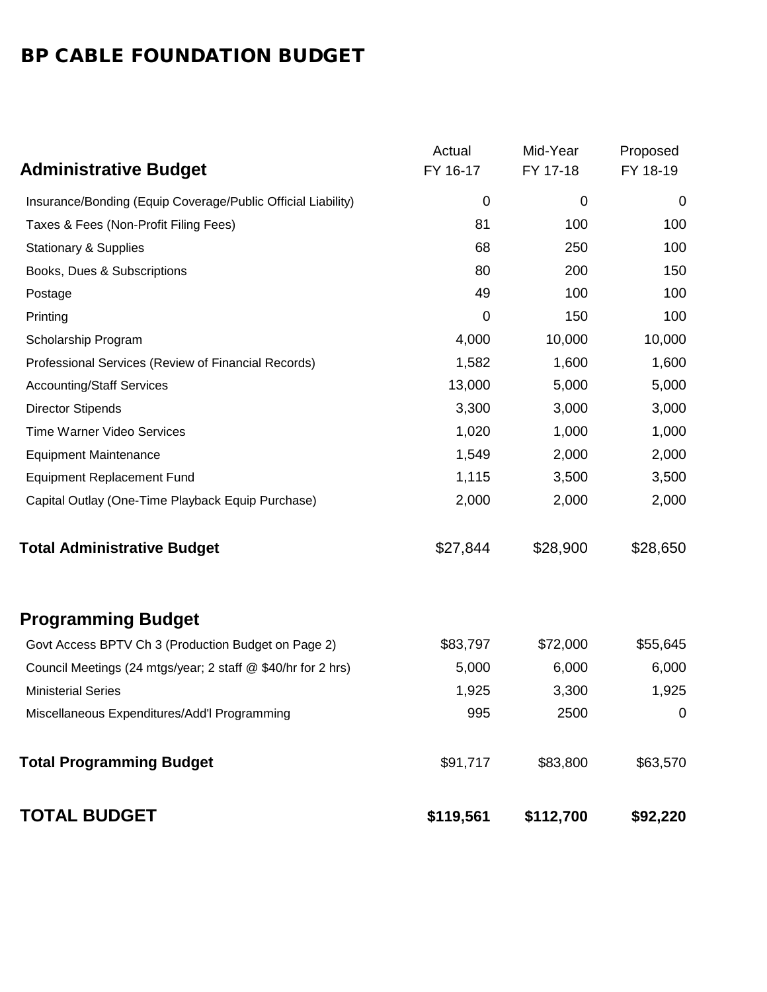# BP CABLE FOUNDATION BUDGET

|                                                              | Actual    | Mid-Year    | Proposed       |
|--------------------------------------------------------------|-----------|-------------|----------------|
| <b>Administrative Budget</b>                                 | FY 16-17  | FY 17-18    | FY 18-19       |
| Insurance/Bonding (Equip Coverage/Public Official Liability) | 0         | $\mathbf 0$ | $\mathbf 0$    |
| Taxes & Fees (Non-Profit Filing Fees)                        | 81        | 100         | 100            |
| <b>Stationary &amp; Supplies</b>                             | 68        | 250         | 100            |
| Books, Dues & Subscriptions                                  | 80        | 200         | 150            |
| Postage                                                      | 49        | 100         | 100            |
| Printing                                                     | 0         | 150         | 100            |
| Scholarship Program                                          | 4,000     | 10,000      | 10,000         |
| Professional Services (Review of Financial Records)          | 1,582     | 1,600       | 1,600          |
| <b>Accounting/Staff Services</b>                             | 13,000    | 5,000       | 5,000          |
| <b>Director Stipends</b>                                     | 3,300     | 3,000       | 3,000          |
| <b>Time Warner Video Services</b>                            | 1,020     | 1,000       | 1,000          |
| <b>Equipment Maintenance</b>                                 | 1,549     | 2,000       | 2,000          |
| <b>Equipment Replacement Fund</b>                            | 1,115     | 3,500       | 3,500          |
| Capital Outlay (One-Time Playback Equip Purchase)            | 2,000     | 2,000       | 2,000          |
| <b>Total Administrative Budget</b>                           | \$27,844  | \$28,900    | \$28,650       |
| <b>Programming Budget</b>                                    |           |             |                |
| Govt Access BPTV Ch 3 (Production Budget on Page 2)          | \$83,797  | \$72,000    | \$55,645       |
| Council Meetings (24 mtgs/year; 2 staff @ \$40/hr for 2 hrs) | 5,000     | 6,000       | 6,000          |
| <b>Ministerial Series</b>                                    | 1,925     | 3,300       | 1,925          |
| Miscellaneous Expenditures/Add'l Programming                 | 995       | 2500        | $\overline{0}$ |
| <b>Total Programming Budget</b>                              | \$91,717  | \$83,800    | \$63,570       |
| <b>TOTAL BUDGET</b>                                          | \$119,561 | \$112,700   | \$92,220       |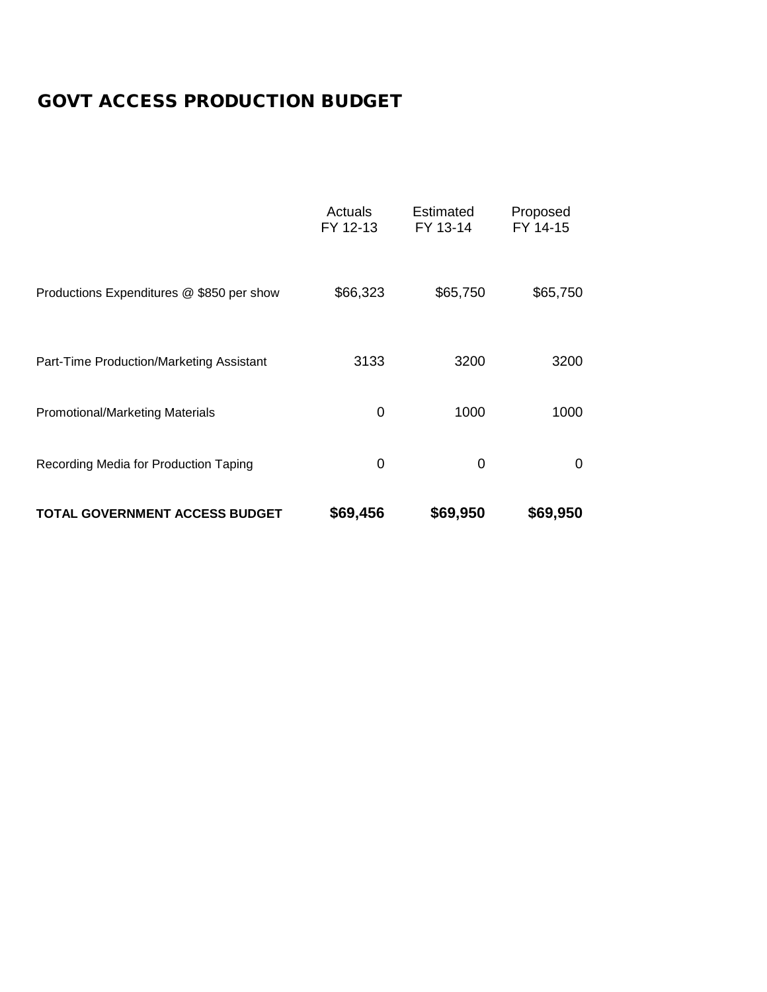# GOVT ACCESS PRODUCTION BUDGET

|                                           | Actuals<br>FY 12-13 | Estimated<br>FY 13-14 | Proposed<br>FY 14-15 |
|-------------------------------------------|---------------------|-----------------------|----------------------|
| Productions Expenditures @ \$850 per show | \$66,323            | \$65,750              | \$65,750             |
| Part-Time Production/Marketing Assistant  | 3133                | 3200                  | 3200                 |
| Promotional/Marketing Materials           | 0                   | 1000                  | 1000                 |
| Recording Media for Production Taping     | 0                   | 0                     | 0                    |
| <b>TOTAL GOVERNMENT ACCESS BUDGET</b>     | \$69,456            | \$69,950              | \$69,950             |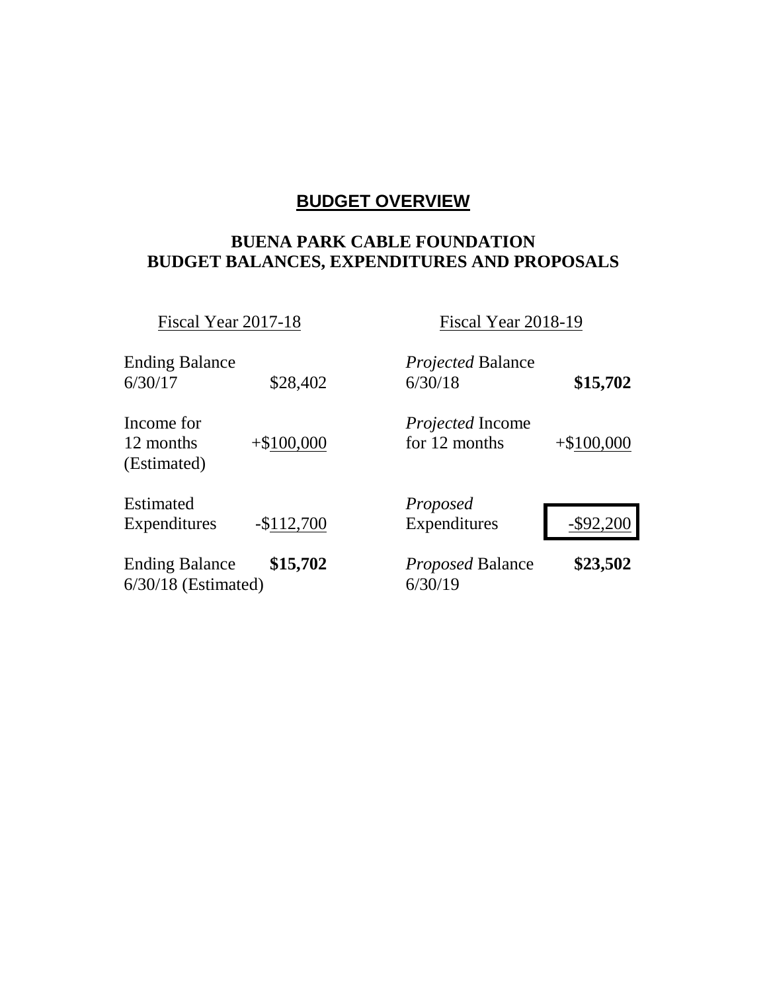## **BUDGET OVERVIEW**

### **BUENA PARK CABLE FOUNDATION BUDGET BALANCES, EXPENDITURES AND PROPOSALS**

Fiscal Year 2017-18 Fiscal Year 2018-19

| <b>Ending Balance</b><br>6/30/17               | \$28,402    | <i>Projected</i> Balance<br>6/30/18      | \$15,702     |
|------------------------------------------------|-------------|------------------------------------------|--------------|
| Income for<br>12 months<br>(Estimated)         | $+$100,000$ | <i>Projected</i> Income<br>for 12 months | $+\$100,000$ |
| Estimated<br>Expenditures                      | $-$112,700$ | Proposed<br>Expenditures                 | $-$ \$92,200 |
| <b>Ending Balance</b><br>$6/30/18$ (Estimated) | \$15,702    | Proposed Balance<br>6/30/19              | \$23,502     |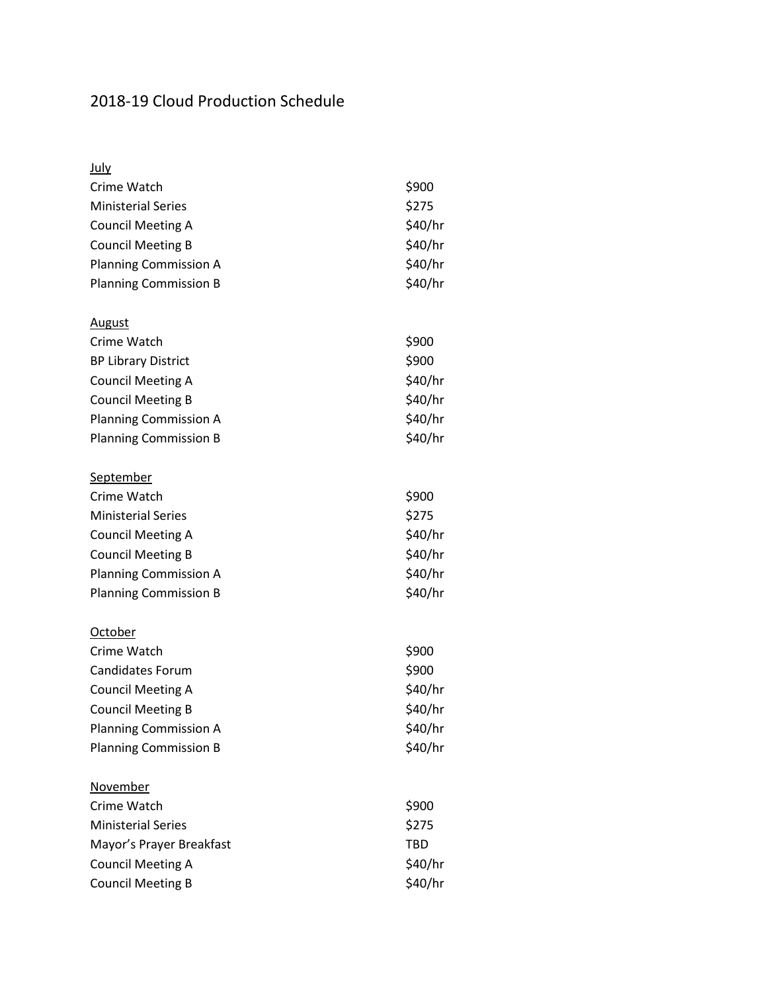# 2018-19 Cloud Production Schedule

| <b>July</b>                  |            |
|------------------------------|------------|
| Crime Watch                  | \$900      |
| <b>Ministerial Series</b>    | \$275      |
| <b>Council Meeting A</b>     | \$40/hr    |
| <b>Council Meeting B</b>     | \$40/hr    |
| <b>Planning Commission A</b> | \$40/hr    |
| <b>Planning Commission B</b> | \$40/hr    |
| <b>August</b>                |            |
| Crime Watch                  | \$900      |
| <b>BP Library District</b>   | \$900      |
| <b>Council Meeting A</b>     | \$40/hr    |
| <b>Council Meeting B</b>     | \$40/hr    |
| <b>Planning Commission A</b> | \$40/hr    |
| <b>Planning Commission B</b> | \$40/hr    |
| <u>September</u>             |            |
| Crime Watch                  | \$900      |
| <b>Ministerial Series</b>    | \$275      |
| <b>Council Meeting A</b>     | \$40/hr    |
| <b>Council Meeting B</b>     | \$40/hr    |
| <b>Planning Commission A</b> | \$40/hr    |
| <b>Planning Commission B</b> | \$40/hr    |
| <u>October</u>               |            |
| Crime Watch                  | \$900      |
| Candidates Forum             | \$900      |
| <b>Council Meeting A</b>     | \$40/hr    |
| <b>Council Meeting B</b>     | \$40/hr    |
| <b>Planning Commission A</b> | \$40/hr    |
| <b>Planning Commission B</b> | \$40/hr    |
| <b>November</b>              |            |
| Crime Watch                  | \$900      |
| <b>Ministerial Series</b>    | \$275      |
| Mayor's Prayer Breakfast     | <b>TBD</b> |
| <b>Council Meeting A</b>     | \$40/hr    |
| <b>Council Meeting B</b>     | \$40/hr    |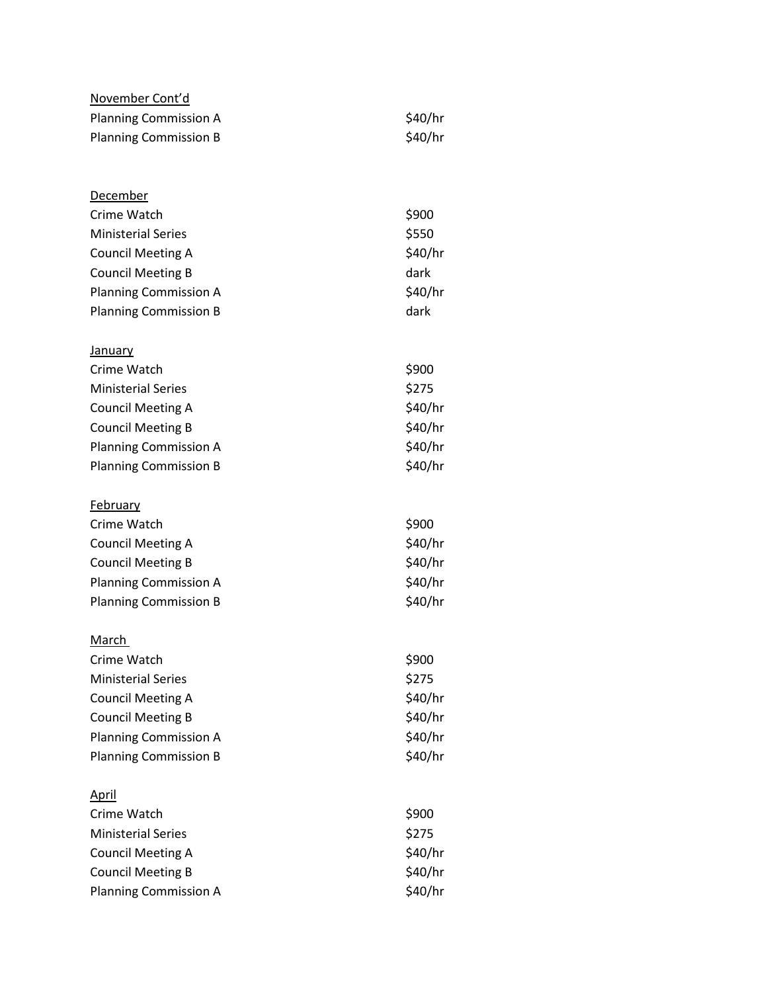| <u>November Cont'd</u><br><b>Planning Commission A</b><br><b>Planning Commission B</b>                               | \$40/hr<br>\$40/hr                 |
|----------------------------------------------------------------------------------------------------------------------|------------------------------------|
| <u>December</u><br>Crime Watch<br><b>Ministerial Series</b>                                                          | \$900<br>\$550                     |
| <b>Council Meeting A</b><br><b>Council Meeting B</b><br><b>Planning Commission A</b><br><b>Planning Commission B</b> | \$40/hr<br>dark<br>\$40/hr<br>dark |
| <b>January</b>                                                                                                       |                                    |
| Crime Watch<br><b>Ministerial Series</b><br><b>Council Meeting A</b>                                                 | \$900<br>\$275<br>\$40/hr          |
| <b>Council Meeting B</b><br><b>Planning Commission A</b>                                                             | \$40/hr<br>\$40/hr                 |
| <b>Planning Commission B</b>                                                                                         | \$40/hr                            |
| <b>February</b>                                                                                                      |                                    |
| Crime Watch<br><b>Council Meeting A</b>                                                                              | \$900<br>\$40/hr                   |
| <b>Council Meeting B</b>                                                                                             | \$40/hr                            |
| <b>Planning Commission A</b>                                                                                         | \$40/hr                            |
| <b>Planning Commission B</b>                                                                                         | \$40/hr                            |
| March                                                                                                                |                                    |
| Crime Watch                                                                                                          | \$900                              |
| <b>Ministerial Series</b>                                                                                            | \$275                              |
| <b>Council Meeting A</b><br><b>Council Meeting B</b>                                                                 | \$40/hr<br>\$40/hr                 |
| <b>Planning Commission A</b>                                                                                         | \$40/hr                            |
| <b>Planning Commission B</b>                                                                                         | \$40/hr                            |
| <u>April</u>                                                                                                         |                                    |
| Crime Watch                                                                                                          | \$900                              |
| <b>Ministerial Series</b>                                                                                            | \$275                              |
| <b>Council Meeting A</b>                                                                                             | \$40/hr                            |
| <b>Council Meeting B</b>                                                                                             | \$40/hr                            |
| <b>Planning Commission A</b>                                                                                         | \$40/hr                            |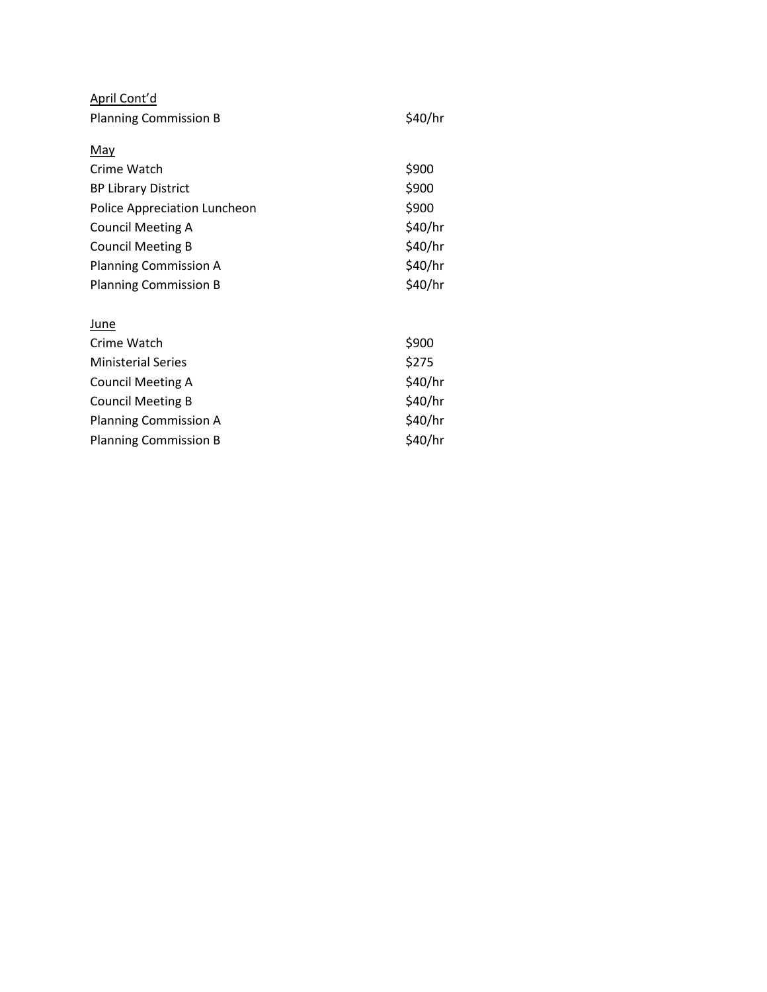| April Cont'd                 |         |  |  |
|------------------------------|---------|--|--|
| <b>Planning Commission B</b> |         |  |  |
|                              |         |  |  |
| <u>May</u>                   |         |  |  |
| Crime Watch                  | \$900   |  |  |
| <b>BP Library District</b>   | \$900   |  |  |
| Police Appreciation Luncheon | \$900   |  |  |
| Council Meeting A            | \$40/hr |  |  |
| <b>Council Meeting B</b>     | \$40/hr |  |  |
| <b>Planning Commission A</b> | \$40/hr |  |  |
| <b>Planning Commission B</b> | \$40/hr |  |  |
|                              |         |  |  |
| June                         |         |  |  |
| Crime Watch                  | \$900   |  |  |
| <b>Ministerial Series</b>    | \$275   |  |  |
| Council Meeting A            | \$40/hr |  |  |
| <b>Council Meeting B</b>     | \$40/hr |  |  |
| Planning Commission A        | \$40/hr |  |  |

\$40/hr

Planning Commission B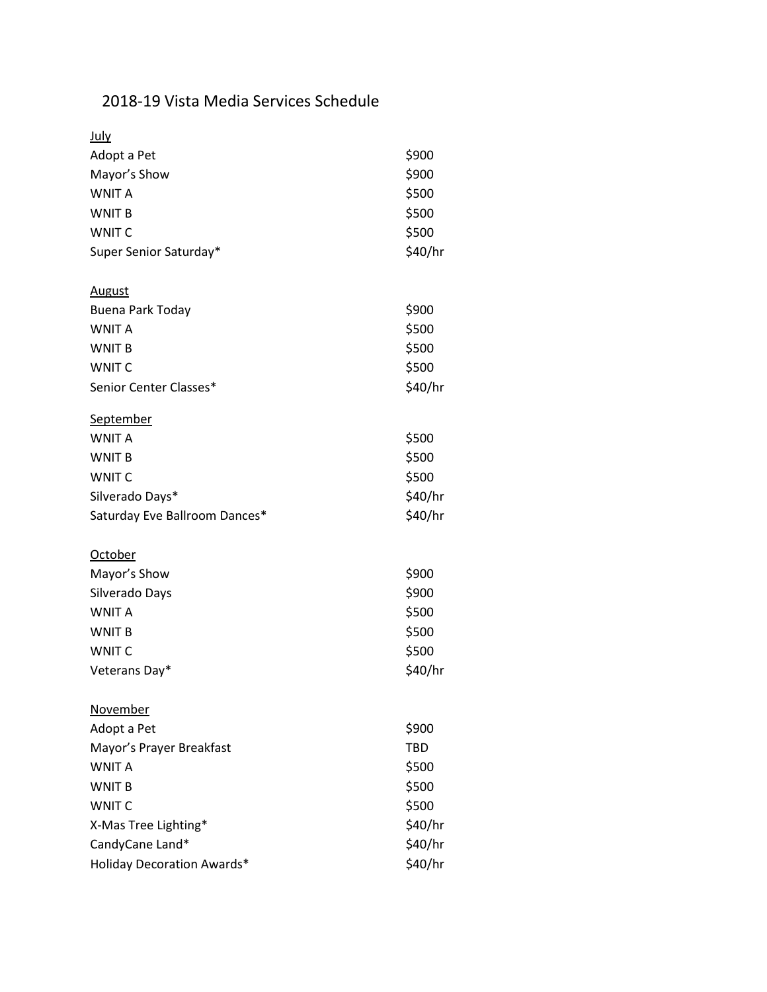# 2018-19 Vista Media Services Schedule

| July                              |            |
|-----------------------------------|------------|
| Adopt a Pet                       | \$900      |
| Mayor's Show                      | \$900      |
| <b>WNIT A</b>                     | \$500      |
| WNIT B                            | \$500      |
| <b>WNIT C</b>                     | \$500      |
| Super Senior Saturday*            | \$40/hr    |
| <b>August</b>                     |            |
| <b>Buena Park Today</b>           | \$900      |
| <b>WNIT A</b>                     | \$500      |
| <b>WNIT B</b>                     | \$500      |
| <b>WNIT C</b>                     | \$500      |
| Senior Center Classes*            | \$40/hr    |
| September                         |            |
| <b>WNIT A</b>                     | \$500      |
| <b>WNIT B</b>                     | \$500      |
| <b>WNIT C</b>                     | \$500      |
| Silverado Days*                   | \$40/hr    |
| Saturday Eve Ballroom Dances*     | \$40/hr    |
| <b>October</b>                    |            |
| Mayor's Show                      | \$900      |
| Silverado Days                    | \$900      |
| <b>WNIT A</b>                     | \$500      |
| <b>WNIT B</b>                     | \$500      |
| <b>WNIT C</b>                     | \$500      |
| Veterans Day*                     | \$40/hr    |
| November                          |            |
| Adopt a Pet                       | \$900      |
| Mayor's Prayer Breakfast          | <b>TBD</b> |
| <b>WNIT A</b>                     | \$500      |
| <b>WNIT B</b>                     | \$500      |
| <b>WNIT C</b>                     | \$500      |
| X-Mas Tree Lighting*              | \$40/hr    |
| CandyCane Land*                   | \$40/hr    |
| <b>Holiday Decoration Awards*</b> | \$40/hr    |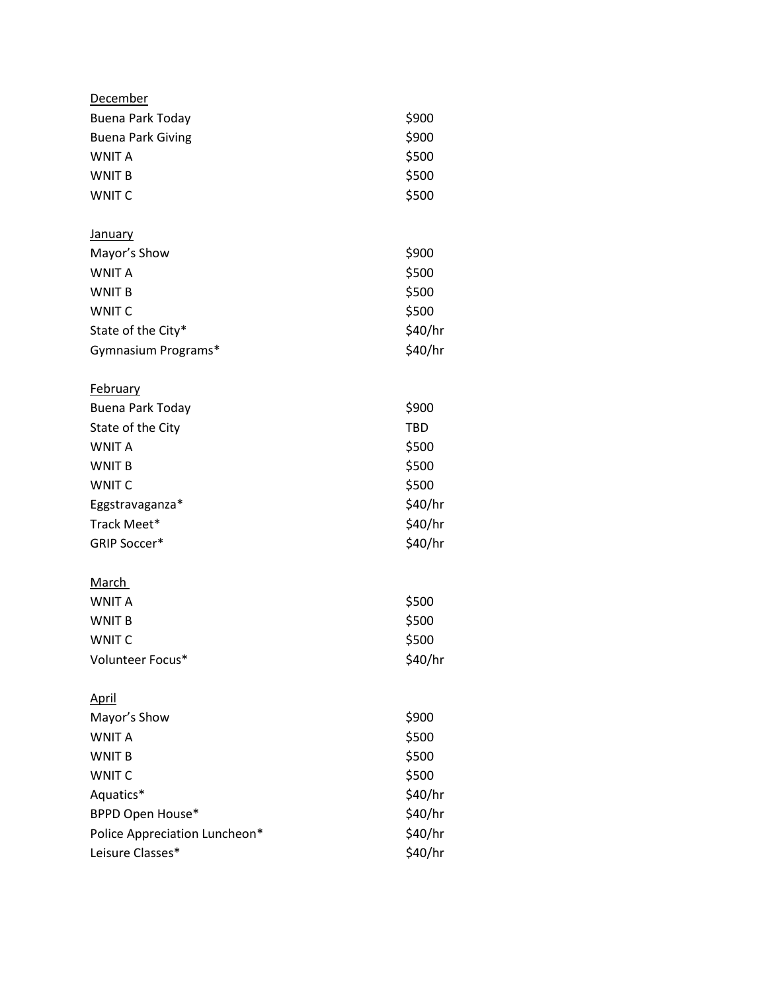| <b>December</b>               |            |
|-------------------------------|------------|
| <b>Buena Park Today</b>       | \$900      |
| <b>Buena Park Giving</b>      | \$900      |
| <b>WNIT A</b>                 | \$500      |
| <b>WNIT B</b>                 | \$500      |
| <b>WNIT C</b>                 | \$500      |
| <b>January</b>                |            |
| Mayor's Show                  | \$900      |
| <b>WNIT A</b>                 | \$500      |
| <b>WNIT B</b>                 | \$500      |
| <b>WNIT C</b>                 | \$500      |
| State of the City*            | \$40/hr    |
| Gymnasium Programs*           | \$40/hr    |
| <u>February</u>               |            |
| Buena Park Today              | \$900      |
| State of the City             | <b>TBD</b> |
| <b>WNIT A</b>                 | \$500      |
| <b>WNIT B</b>                 | \$500      |
| <b>WNIT C</b>                 | \$500      |
| Eggstravaganza*               | \$40/hr    |
| Track Meet*                   | \$40/hr    |
| <b>GRIP Soccer*</b>           | \$40/hr    |
| <u>March</u>                  |            |
| <b>WNIT A</b>                 | \$500      |
| <b>WNIT B</b>                 | \$500      |
| <b>WNIT C</b>                 | \$500      |
| Volunteer Focus*              | \$40/hr    |
| <u>April</u>                  |            |
| Mayor's Show                  | \$900      |
| <b>WNIT A</b>                 | \$500      |
| <b>WNIT B</b>                 | \$500      |
| <b>WNIT C</b>                 | \$500      |
| Aquatics*                     | \$40/hr    |
| <b>BPPD Open House*</b>       | \$40/hr    |
| Police Appreciation Luncheon* | \$40/hr    |
| Leisure Classes*              | \$40/hr    |